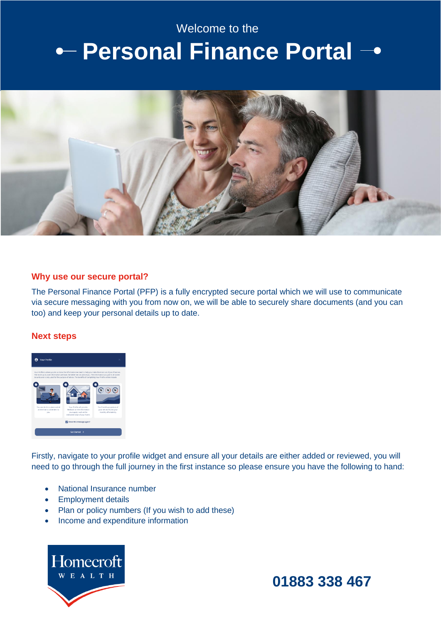## Welcome to the

# **Personal Finance Portal**



#### **Why use our secure portal?**

The Personal Finance Portal (PFP) is a fully encrypted secure portal which we will use to communicate via secure messaging with you from now on, we will be able to securely share documents (and you can too) and keep your personal details up to date.

### **Next steps**



Firstly, navigate to your profile widget and ensure all your details are either added or reviewed, you will need to go through the full journey in the first instance so please ensure you have the following to hand:

- National Insurance number
- Employment details
- Plan or policy numbers (If you wish to add these)
- Income and expenditure information



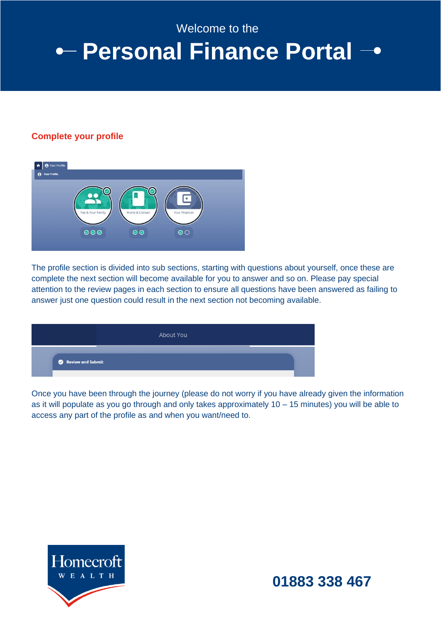Welcome to the

## **Personal Finance Portal**

### **Complete your profile**



The profile section is divided into sub sections, starting with questions about yourself, once these are complete the next section will become available for you to answer and so on. Please pay special attention to the review pages in each section to ensure all questions have been answered as failing to answer just one question could result in the next section not becoming available.

|                   | <b>About You</b> |  |
|-------------------|------------------|--|
| Review and Submit |                  |  |

Once you have been through the journey (please do not worry if you have already given the information as it will populate as you go through and only takes approximately 10 – 15 minutes) you will be able to access any part of the profile as and when you want/need to.